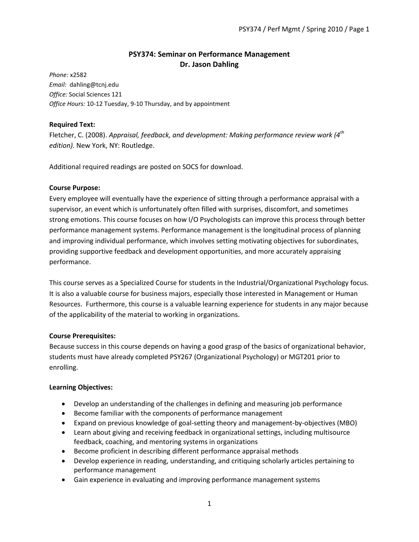# **PSY374: Seminar on Performance Management Dr. Jason Dahling**

*Phone:* x2582 *Email:* dahling@tcnj.edu *Office:* Social Sciences 121 *Office Hours:* 10-12 Tuesday, 9-10 Thursday, and by appointment

# **Required Text:**

Fletcher, C. (2008). *Appraisal, feedback, and development: Making performance review work (4th edition).* New York, NY: Routledge.

Additional required readings are posted on SOCS for download.

# **Course Purpose:**

Every employee will eventually have the experience of sitting through a performance appraisal with a supervisor, an event which is unfortunately often filled with surprises, discomfort, and sometimes strong emotions. This course focuses on how I/O Psychologists can improve this process through better performance management systems. Performance management is the longitudinal process of planning and improving individual performance, which involves setting motivating objectives for subordinates, providing supportive feedback and development opportunities, and more accurately appraising performance.

This course serves as a Specialized Course for students in the Industrial/Organizational Psychology focus. It is also a valuable course for business majors, especially those interested in Management or Human Resources. Furthermore, this course is a valuable learning experience for students in any major because of the applicability of the material to working in organizations.

# **Course Prerequisites:**

Because success in this course depends on having a good grasp of the basics of organizational behavior, students must have already completed PSY267 (Organizational Psychology) or MGT201 prior to enrolling.

# **Learning Objectives:**

- Develop an understanding of the challenges in defining and measuring job performance
- Become familiar with the components of performance management
- Expand on previous knowledge of goal-setting theory and management-by-objectives (MBO)
- Learn about giving and receiving feedback in organizational settings, including multisource feedback, coaching, and mentoring systems in organizations
- Become proficient in describing different performance appraisal methods
- Develop experience in reading, understanding, and critiquing scholarly articles pertaining to performance management
- Gain experience in evaluating and improving performance management systems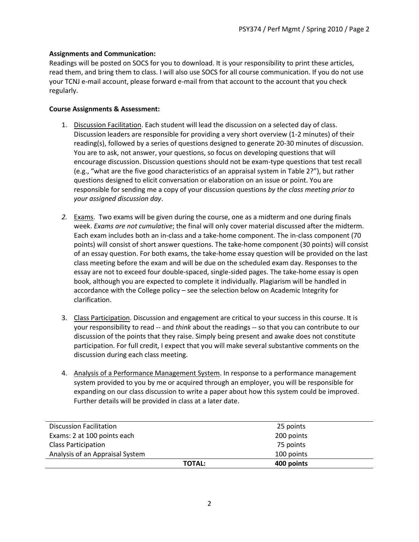# **Assignments and Communication:**

Readings will be posted on SOCS for you to download. It is your responsibility to print these articles, read them, and bring them to class. I will also use SOCS for all course communication. If you do not use your TCNJ e-mail account, please forward e-mail from that account to the account that you check regularly.

#### **Course Assignments & Assessment:**

- 1. Discussion Facilitation. Each student will lead the discussion on a selected day of class. Discussion leaders are responsible for providing a very short overview (1-2 minutes) of their reading(s), followed by a series of questions designed to generate 20-30 minutes of discussion. You are to ask, not answer, your questions, so focus on developing questions that will encourage discussion. Discussion questions should not be exam-type questions that test recall (e.g., "what are the five good characteristics of an appraisal system in Table 2?"), but rather questions designed to elicit conversation or elaboration on an issue or point. You are responsible for sending me a copy of your discussion questions *by the class meeting prior to your assigned discussion day*.
- *2.* Exams. Two exams will be given during the course, one as a midterm and one during finals week. *Exams are not cumulative*; the final will only cover material discussed after the midterm. Each exam includes both an in-class and a take-home component. The in-class component (70 points) will consist of short answer questions. The take-home component (30 points) will consist of an essay question. For both exams, the take-home essay question will be provided on the last class meeting before the exam and will be due on the scheduled exam day. Responses to the essay are not to exceed four double-spaced, single-sided pages. The take-home essay is open book, although you are expected to complete it individually. Plagiarism will be handled in accordance with the College policy – see the selection below on Academic Integrity for clarification.
- 3. Class Participation. Discussion and engagement are critical to your success in this course. It is your responsibility to read -- and *think* about the readings -- so that you can contribute to our discussion of the points that they raise. Simply being present and awake does not constitute participation. For full credit, I expect that you will make several substantive comments on the discussion during each class meeting.
- 4. Analysis of a Performance Management System. In response to a performance management system provided to you by me or acquired through an employer, you will be responsible for expanding on our class discussion to write a paper about how this system could be improved. Further details will be provided in class at a later date.

|                                 | <b>TOTAL:</b> | 400 points |  |
|---------------------------------|---------------|------------|--|
| Analysis of an Appraisal System |               | 100 points |  |
| <b>Class Participation</b>      |               | 75 points  |  |
| Exams: 2 at 100 points each     |               | 200 points |  |
| <b>Discussion Facilitation</b>  |               | 25 points  |  |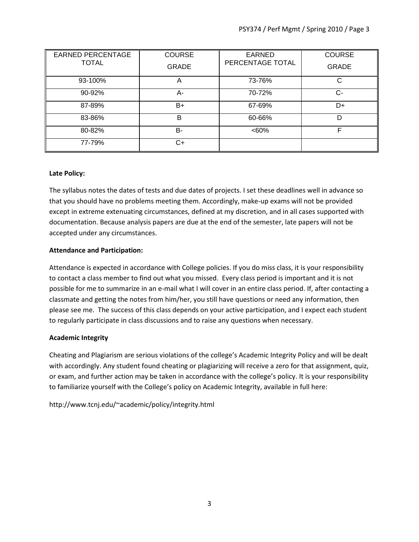| <b>EARNED PERCENTAGE</b> | <b>COURSE</b> | <b>EARNED</b>    | <b>COURSE</b> |
|--------------------------|---------------|------------------|---------------|
| <b>TOTAL</b>             | <b>GRADE</b>  | PERCENTAGE TOTAL | <b>GRADE</b>  |
| 93-100%                  | A             | 73-76%           | C             |
| 90-92%                   | А-            | 70-72%           | $C-$          |
| 87-89%                   | B+            | 67-69%           | D+            |
| 83-86%                   | B             | 60-66%           | D             |
| 80-82%                   | B-            | <60%             | F             |
| 77-79%                   | C+            |                  |               |

# **Late Policy:**

The syllabus notes the dates of tests and due dates of projects. I set these deadlines well in advance so that you should have no problems meeting them. Accordingly, make-up exams will not be provided except in extreme extenuating circumstances, defined at my discretion, and in all cases supported with documentation. Because analysis papers are due at the end of the semester, late papers will not be accepted under any circumstances.

# **Attendance and Participation:**

Attendance is expected in accordance with College policies. If you do miss class, it is your responsibility to contact a class member to find out what you missed. Every class period is important and it is not possible for me to summarize in an e-mail what I will cover in an entire class period. If, after contacting a classmate and getting the notes from him/her, you still have questions or need any information, then please see me. The success of this class depends on your active participation, and I expect each student to regularly participate in class discussions and to raise any questions when necessary.

# **Academic Integrity**

Cheating and Plagiarism are serious violations of the college's Academic Integrity Policy and will be dealt with accordingly. Any student found cheating or plagiarizing will receive a zero for that assignment, quiz, or exam, and further action may be taken in accordance with the college's policy. It is your responsibility to familiarize yourself with the College's policy on Academic Integrity, available in full here:

http://www.tcnj.edu/~academic/policy/integrity.html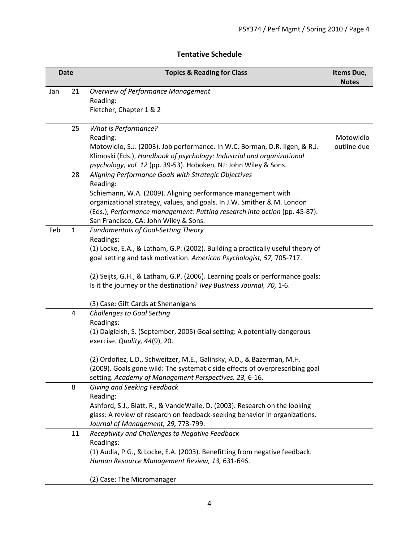# **Tentative Schedule**

| <b>Date</b> |                         | <b>Topics &amp; Reading for Class</b>                                                                                    | Items Due,<br><b>Notes</b> |
|-------------|-------------------------|--------------------------------------------------------------------------------------------------------------------------|----------------------------|
| Jan         | 21                      | <b>Overview of Performance Management</b>                                                                                |                            |
|             |                         | Reading:                                                                                                                 |                            |
|             |                         | Fletcher, Chapter 1 & 2                                                                                                  |                            |
|             | 25                      | What is Performance?                                                                                                     |                            |
|             |                         | Reading:                                                                                                                 | Motowidlo                  |
|             |                         | Motowidlo, S.J. (2003). Job performance. In W.C. Borman, D.R. Ilgen, & R.J.                                              | outline due                |
|             |                         | Klimoski (Eds.), Handbook of psychology: Industrial and organizational                                                   |                            |
|             | 28                      | psychology, vol. 12 (pp. 39-53). Hoboken, NJ: John Wiley & Sons.<br>Aligning Performance Goals with Strategic Objectives |                            |
|             |                         | Reading:                                                                                                                 |                            |
|             |                         | Schiemann, W.A. (2009). Aligning performance management with                                                             |                            |
|             |                         | organizational strategy, values, and goals. In J.W. Smither & M. London                                                  |                            |
|             |                         | (Eds.), Performance management: Putting research into action (pp. 45-87).                                                |                            |
|             |                         | San Francisco, CA: John Wiley & Sons.                                                                                    |                            |
| Feb         | $\mathbf{1}$            | <b>Fundamentals of Goal-Setting Theory</b>                                                                               |                            |
|             |                         | Readings:                                                                                                                |                            |
|             |                         | (1) Locke, E.A., & Latham, G.P. (2002). Building a practically useful theory of                                          |                            |
|             |                         | goal setting and task motivation. American Psychologist, 57, 705-717.                                                    |                            |
|             |                         | (2) Seijts, G.H., & Latham, G.P. (2006). Learning goals or performance goals:                                            |                            |
|             |                         | Is it the journey or the destination? Ivey Business Journal, 70, 1-6.                                                    |                            |
|             |                         | (3) Case: Gift Cards at Shenanigans                                                                                      |                            |
|             | $\overline{\mathbf{4}}$ | <b>Challenges to Goal Setting</b>                                                                                        |                            |
|             |                         | Readings:                                                                                                                |                            |
|             |                         | (1) Dalgleish, S. (September, 2005) Goal setting: A potentially dangerous                                                |                            |
|             |                         | exercise. Quality, 44(9), 20.                                                                                            |                            |
|             |                         | (2) Ordoñez, L.D., Schweitzer, M.E., Galinsky, A.D., & Bazerman, M.H.                                                    |                            |
|             |                         | (2009). Goals gone wild: The systematic side effects of overprescribing goal                                             |                            |
|             |                         | setting. Academy of Management Perspectives, 23, 6-16.                                                                   |                            |
|             | 8                       | Giving and Seeking Feedback                                                                                              |                            |
|             |                         | Reading:                                                                                                                 |                            |
|             |                         | Ashford, S.J., Blatt, R., & VandeWalle, D. (2003). Research on the looking                                               |                            |
|             |                         | glass: A review of research on feedback-seeking behavior in organizations.                                               |                            |
|             |                         | Journal of Management, 29, 773-799.                                                                                      |                            |
|             | 11                      | Receptivity and Challenges to Negative Feedback                                                                          |                            |
|             |                         | Readings:                                                                                                                |                            |
|             |                         | (1) Audia, P.G., & Locke, E.A. (2003). Benefitting from negative feedback.                                               |                            |
|             |                         | Human Resource Management Review, 13, 631-646.                                                                           |                            |
|             |                         | (2) Case: The Micromanager                                                                                               |                            |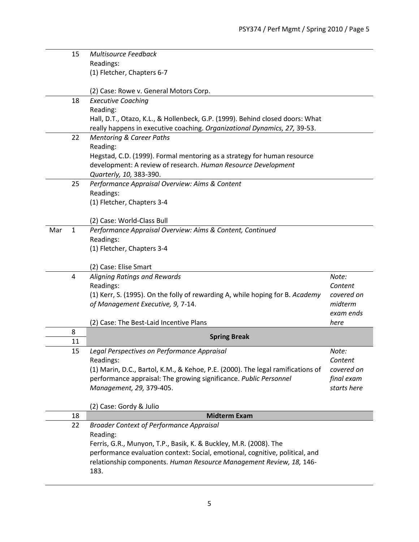|     | 15             | <b>Multisource Feedback</b>                                                     |             |
|-----|----------------|---------------------------------------------------------------------------------|-------------|
|     |                | Readings:                                                                       |             |
|     |                | (1) Fletcher, Chapters 6-7                                                      |             |
|     |                |                                                                                 |             |
|     |                | (2) Case: Rowe v. General Motors Corp.                                          |             |
|     | 18             | <b>Executive Coaching</b>                                                       |             |
|     |                | Reading:                                                                        |             |
|     |                | Hall, D.T., Otazo, K.L., & Hollenbeck, G.P. (1999). Behind closed doors: What   |             |
|     |                | really happens in executive coaching. Organizational Dynamics, 27, 39-53.       |             |
|     | 22             | <b>Mentoring &amp; Career Paths</b>                                             |             |
|     |                | Reading:                                                                        |             |
|     |                | Hegstad, C.D. (1999). Formal mentoring as a strategy for human resource         |             |
|     |                | development: A review of research. Human Resource Development                   |             |
|     |                | Quarterly, 10, 383-390.                                                         |             |
|     | 25             | Performance Appraisal Overview: Aims & Content<br>Readings:                     |             |
|     |                | (1) Fletcher, Chapters 3-4                                                      |             |
|     |                |                                                                                 |             |
|     |                | (2) Case: World-Class Bull                                                      |             |
| Mar | $\mathbf{1}$   | Performance Appraisal Overview: Aims & Content, Continued                       |             |
|     |                | Readings:                                                                       |             |
|     |                | (1) Fletcher, Chapters 3-4                                                      |             |
|     |                |                                                                                 |             |
|     |                | (2) Case: Elise Smart                                                           |             |
|     | $\overline{4}$ | Aligning Ratings and Rewards                                                    | Note:       |
|     |                | Readings:                                                                       | Content     |
|     |                | (1) Kerr, S. (1995). On the folly of rewarding A, while hoping for B. Academy   | covered on  |
|     |                | of Management Executive, 9, 7-14.                                               | midterm     |
|     |                |                                                                                 | exam ends   |
|     |                | (2) Case: The Best-Laid Incentive Plans                                         | here        |
|     | 8<br>11        | <b>Spring Break</b>                                                             |             |
|     | 15             | Legal Perspectives on Performance Appraisal                                     | Note:       |
|     |                | Readings:                                                                       | Content     |
|     |                | (1) Marin, D.C., Bartol, K.M., & Kehoe, P.E. (2000). The legal ramifications of | covered on  |
|     |                | performance appraisal: The growing significance. Public Personnel               | final exam  |
|     |                | Management, 29, 379-405.                                                        | starts here |
|     |                |                                                                                 |             |
|     |                | (2) Case: Gordy & Julio                                                         |             |
|     | 18             | <b>Midterm Exam</b>                                                             |             |
|     | 22             | <b>Broader Context of Performance Appraisal</b>                                 |             |
|     |                | Reading:                                                                        |             |
|     |                | Ferris, G.R., Munyon, T.P., Basik, K. & Buckley, M.R. (2008). The               |             |
|     |                | performance evaluation context: Social, emotional, cognitive, political, and    |             |
|     |                | relationship components. Human Resource Management Review, 18, 146-             |             |
|     |                | 183.                                                                            |             |